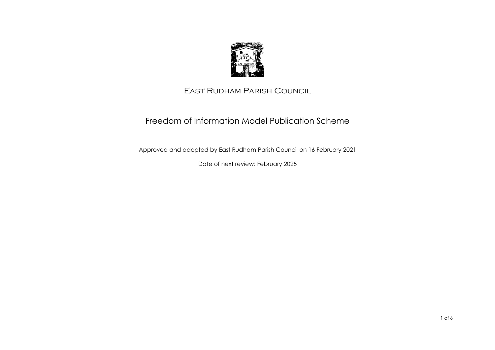

## East Rudham Parish Council

# Freedom of Information Model Publication Scheme

Approved and adopted by East Rudham Parish Council on 16 February 2021

Date of next review: February 2025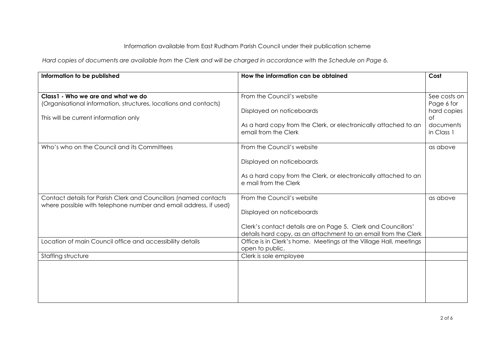### Information available from East Rudham Parish Council under their publication scheme

*Hard copies of documents are available from the Clerk and will be charged in accordance with the Schedule on Page 6.* 

| Information to be published                                                                                                          | How the information can be obtained                                                                                             | Cost                      |
|--------------------------------------------------------------------------------------------------------------------------------------|---------------------------------------------------------------------------------------------------------------------------------|---------------------------|
| Class1 - Who we are and what we do                                                                                                   | From the Council's website                                                                                                      | See costs on              |
| (Organisational information, structures, locations and contacts)                                                                     | Displayed on noticeboards                                                                                                       | Page 6 for<br>hard copies |
| This will be current information only                                                                                                |                                                                                                                                 | Οf                        |
|                                                                                                                                      | As a hard copy from the Clerk, or electronically attached to an<br>email from the Clerk                                         | documents<br>in Class 1   |
| Who's who on the Council and its Committees                                                                                          | From the Council's website                                                                                                      | as above                  |
|                                                                                                                                      | Displayed on noticeboards                                                                                                       |                           |
|                                                                                                                                      | As a hard copy from the Clerk, or electronically attached to an<br>e mail from the Clerk                                        |                           |
| Contact details for Parish Clerk and Councillors (named contacts<br>where possible with telephone number and email address, if used) | From the Council's website                                                                                                      | as above                  |
|                                                                                                                                      | Displayed on noticeboards                                                                                                       |                           |
|                                                                                                                                      | Clerk's contact details are on Page 5. Clerk and Councillors'<br>details hard copy, as an attachment to an email from the Clerk |                           |
| Location of main Council office and accessibility details                                                                            | Office is in Clerk's home. Meetings at the Village Hall, meetings<br>open to public.                                            |                           |
| Staffing structure                                                                                                                   | Clerk is sole employee                                                                                                          |                           |
|                                                                                                                                      |                                                                                                                                 |                           |
|                                                                                                                                      |                                                                                                                                 |                           |
|                                                                                                                                      |                                                                                                                                 |                           |
|                                                                                                                                      |                                                                                                                                 |                           |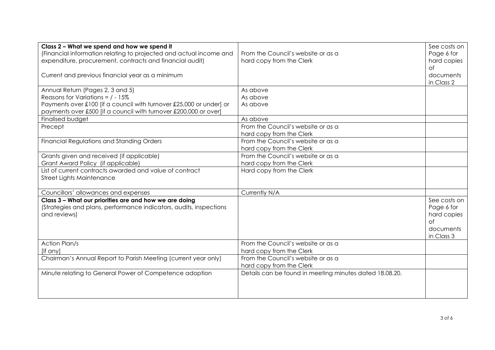| Class 2 - What we spend and how we spend it<br>(Financial information relating to projected and actual income and<br>expenditure, procurement, contracts and financial audit) | From the Council's website or as a<br>hard copy from the Clerk | See costs on<br>Page 6 for<br>hard copies<br>$\circ$ f |
|-------------------------------------------------------------------------------------------------------------------------------------------------------------------------------|----------------------------------------------------------------|--------------------------------------------------------|
| Current and previous financial year as a minimum                                                                                                                              |                                                                | documents<br>in Class 2                                |
| Annual Return (Pages 2, 3 and 5)                                                                                                                                              | As above                                                       |                                                        |
| Reasons for Variations = $/ - 15\%$                                                                                                                                           | As above                                                       |                                                        |
| Payments over £100 [if a council with turnover £25,000 or under] or                                                                                                           | As above                                                       |                                                        |
| payments over £500 [if a council with turnover £200,000 or over]<br>Finalised budget                                                                                          | As above                                                       |                                                        |
| Precept                                                                                                                                                                       | From the Council's website or as a                             |                                                        |
|                                                                                                                                                                               | hard copy from the Clerk                                       |                                                        |
| Financial Regulations and Standing Orders                                                                                                                                     | From the Council's website or as a                             |                                                        |
|                                                                                                                                                                               | hard copy from the Clerk                                       |                                                        |
| Grants given and received (if applicable)                                                                                                                                     | From the Council's website or as a                             |                                                        |
| Grant Award Policy (if applicable)                                                                                                                                            | hard copy from the Clerk                                       |                                                        |
| List of current contracts awarded and value of contract                                                                                                                       | Hard copy from the Clerk                                       |                                                        |
| <b>Street Lights Maintenance</b>                                                                                                                                              |                                                                |                                                        |
|                                                                                                                                                                               |                                                                |                                                        |
| Councillors' allowances and expenses                                                                                                                                          | Currently N/A                                                  |                                                        |
| Class 3 - What our priorities are and how we are doing                                                                                                                        |                                                                | See costs on                                           |
| (Strategies and plans, performance indicators, audits, inspections                                                                                                            |                                                                | Page 6 for                                             |
| and reviews)                                                                                                                                                                  |                                                                | hard copies<br>$\circ$ f                               |
|                                                                                                                                                                               |                                                                | documents                                              |
|                                                                                                                                                                               |                                                                | in Class 3                                             |
| <b>Action Plan/s</b>                                                                                                                                                          | From the Council's website or as a                             |                                                        |
| [if any]                                                                                                                                                                      | hard copy from the Clerk                                       |                                                        |
| Chairman's Annual Report to Parish Meeting (current year only)                                                                                                                | From the Council's website or as a                             |                                                        |
|                                                                                                                                                                               | hard copy from the Clerk                                       |                                                        |
| Minute relating to General Power of Competence adoption                                                                                                                       | Details can be found in meeting minutes dated 18.08.20.        |                                                        |
|                                                                                                                                                                               |                                                                |                                                        |
|                                                                                                                                                                               |                                                                |                                                        |
|                                                                                                                                                                               |                                                                |                                                        |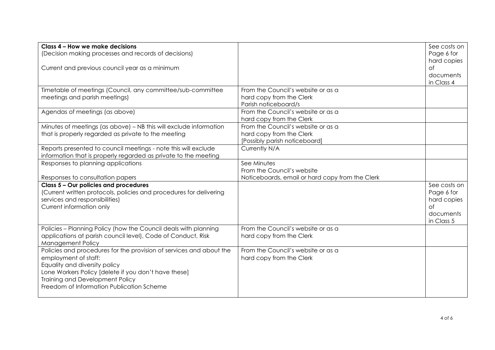| Class 4 - How we make decisions<br>(Decision making processes and records of decisions)                     |                                                            | See costs on<br>Page 6 for |
|-------------------------------------------------------------------------------------------------------------|------------------------------------------------------------|----------------------------|
|                                                                                                             |                                                            | hard copies                |
| Current and previous council year as a minimum                                                              |                                                            | of                         |
|                                                                                                             |                                                            | documents                  |
|                                                                                                             |                                                            | in Class 4                 |
| Timetable of meetings (Council, any committee/sub-committee                                                 | From the Council's website or as a                         |                            |
| meetings and parish meetings)                                                                               | hard copy from the Clerk                                   |                            |
| Agendas of meetings (as above)                                                                              | Parish noticeboard/s<br>From the Council's website or as a |                            |
|                                                                                                             | hard copy from the Clerk                                   |                            |
| Minutes of meetings (as above) - NB this will exclude information                                           | From the Council's website or as a                         |                            |
| that is properly regarded as private to the meeting                                                         | hard copy from the Clerk                                   |                            |
|                                                                                                             | [Possibly parish noticeboard]                              |                            |
| Reports presented to council meetings - note this will exclude                                              | Currently N/A                                              |                            |
| information that is properly regarded as private to the meeting                                             |                                                            |                            |
| Responses to planning applications                                                                          | See Minutes                                                |                            |
|                                                                                                             | From the Council's website                                 |                            |
| Responses to consultation papers                                                                            | Noticeboards, email or hard copy from the Clerk            |                            |
| Class 5 - Our policies and procedures<br>(Current written protocols, policies and procedures for delivering |                                                            | See costs on<br>Page 6 for |
| services and responsibilities)                                                                              |                                                            | hard copies                |
| Current information only                                                                                    |                                                            | ∩f                         |
|                                                                                                             |                                                            | documents                  |
|                                                                                                             |                                                            | in Class 5                 |
| Policies - Planning Policy (how the Council deals with planning                                             | From the Council's website or as a                         |                            |
| applications at parish council level), Code of Conduct, Risk                                                | hard copy from the Clerk                                   |                            |
| Management Policy                                                                                           |                                                            |                            |
| Policies and procedures for the provision of services and about the                                         | From the Council's website or as a                         |                            |
| employment of staff:                                                                                        | hard copy from the Clerk                                   |                            |
| Equality and diversity policy<br>Lone Workers Policy [delete if you don't have these]                       |                                                            |                            |
| Training and Development Policy                                                                             |                                                            |                            |
| Freedom of Information Publication Scheme                                                                   |                                                            |                            |
|                                                                                                             |                                                            |                            |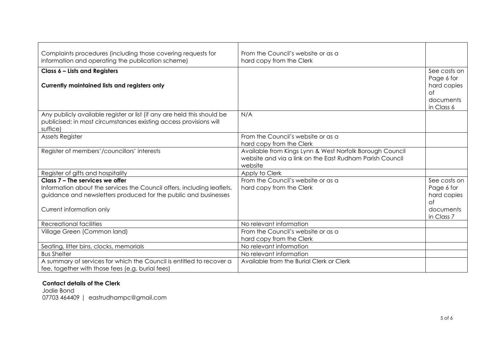| Complaints procedures (including those covering requests for<br>information and operating the publication scheme)                                                                                        | From the Council's website or as a<br>hard copy from the Clerk                                                                  |                                                                            |
|----------------------------------------------------------------------------------------------------------------------------------------------------------------------------------------------------------|---------------------------------------------------------------------------------------------------------------------------------|----------------------------------------------------------------------------|
| Class 6 - Lists and Registers<br>Currently maintained lists and registers only                                                                                                                           |                                                                                                                                 | See costs on<br>Page 6 for<br>hard copies<br>of<br>documents<br>in Class 6 |
| Any publicly available register or list (if any are held this should be<br>publicised; in most circumstances existing access provisions will<br>suffice)                                                 | N/A                                                                                                                             |                                                                            |
| Assets Register                                                                                                                                                                                          | From the Council's website or as a<br>hard copy from the Clerk                                                                  |                                                                            |
| Register of members'/councillors' interests                                                                                                                                                              | Available from Kings Lynn & West Norfolk Borough Council<br>website and via a link on the East Rudham Parish Council<br>website |                                                                            |
| Register of gifts and hospitality                                                                                                                                                                        | Apply to Clerk                                                                                                                  |                                                                            |
| Class 7 - The services we offer<br>Information about the services the Council offers, including leaflets,<br>guidance and newsletters produced for the public and businesses<br>Current information only | From the Council's website or as a<br>hard copy from the Clerk                                                                  | See costs on<br>Page 6 for<br>hard copies<br>of<br>documents<br>in Class 7 |
| <b>Recreational facilities</b>                                                                                                                                                                           | No relevant information                                                                                                         |                                                                            |
| Village Green (Common land)                                                                                                                                                                              | From the Council's website or as a<br>hard copy from the Clerk                                                                  |                                                                            |
| Seating, litter bins, clocks, memorials                                                                                                                                                                  | No relevant information                                                                                                         |                                                                            |
| <b>Bus Shelter</b>                                                                                                                                                                                       | No relevant information                                                                                                         |                                                                            |
| A summary of services for which the Council is entitled to recover a<br>fee, together with those fees (e.g. burial fees)                                                                                 | Available from the Burial Clerk or Clerk                                                                                        |                                                                            |

#### **Contact details of the Clerk**

Jodie Bond 07703 464409 | eastrudhampc@gmail.com